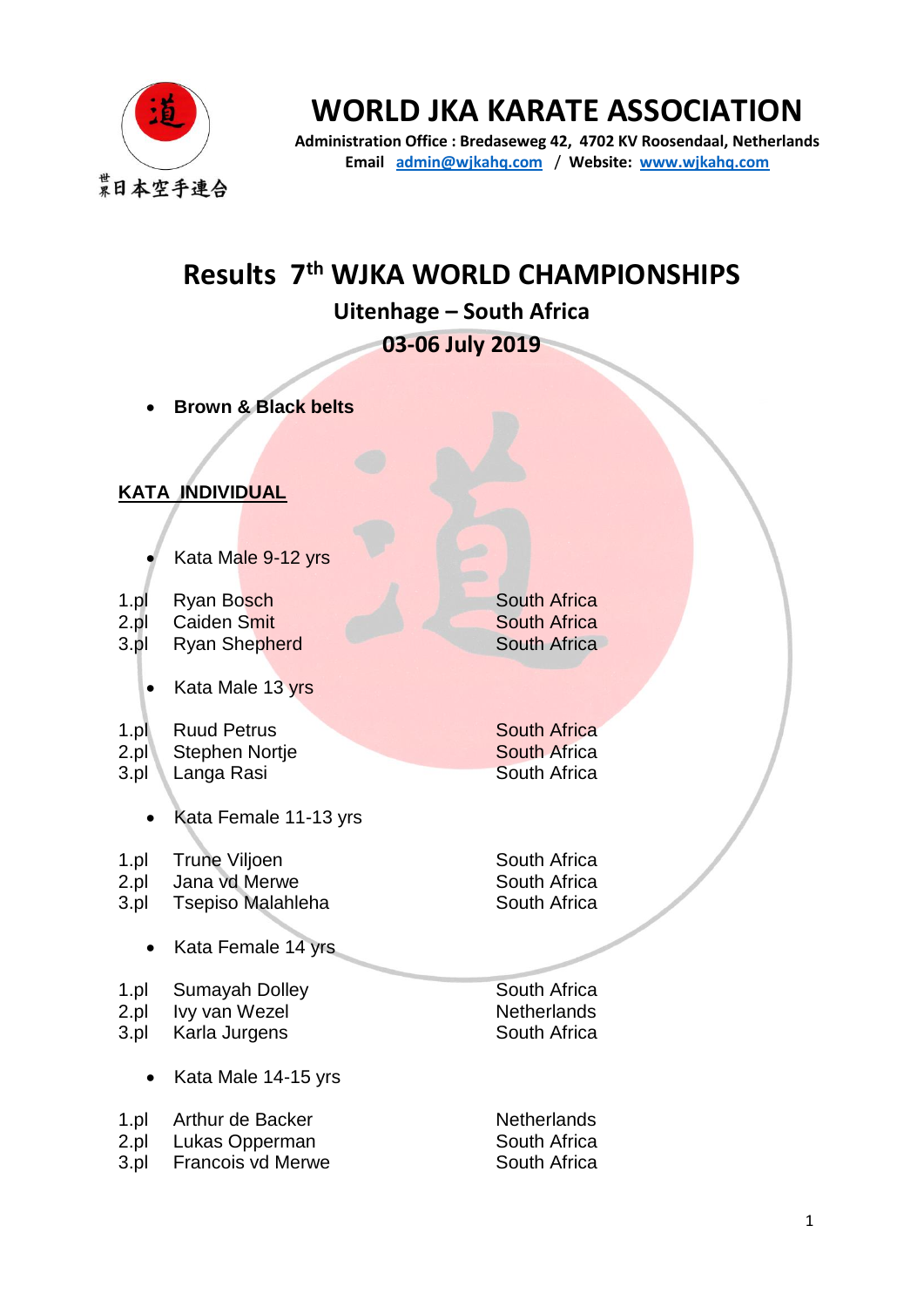

# **WORLD JKA KARATE ASSOCIATION**

**Administration Office : Bredaseweg 42, 4702 KV Roosendaal, Netherlands Email [admin@wjkahq.com](mailto:admin@wjkahq.com)** / **Website: [www.wjkahq.com](http://www.wjkahq.com/)**

## **Results 7th WJKA WORLD CHAMPIONSHIPS**

**Uitenhage – South Africa**

**03-06 July 2019**

- **Brown & Black belts**
- **KATA INDIVIDUAL**
	- Kata Male 9-12 yrs

| $1$ .pl | Ryan Bosch |
|---------|------------|
|         |            |

- 2.pl Caiden Smit
- 3.pl Ryan Shepherd
	- Kata Male 13 yrs
- 1.pl 2.pl Ruud Petrus Stephen Nortje
- 3.pl Langa Rasi
	- Kata Female 11-13 yrs
- 1.pl Trune Viljoen
- 2.pl Jana vd Merwe
- 3.pl Tsepiso Malahleha
	- Kata Female 14 yrs

1.pl 2.pl 3.pl Sumayah Dolley Ivy van Wezel Karla Jurgens

• Kata Male 14-15 yrs

1.pl 2.pl 3.pl Arthur de Backer Lukas Opperman Francois vd Merwe South Africa South Africa South Africa

South Africa South Africa South Africa

South Africa South Africa South Africa

South Africa **Netherlands** South Africa

**Netherlands** South Africa South Africa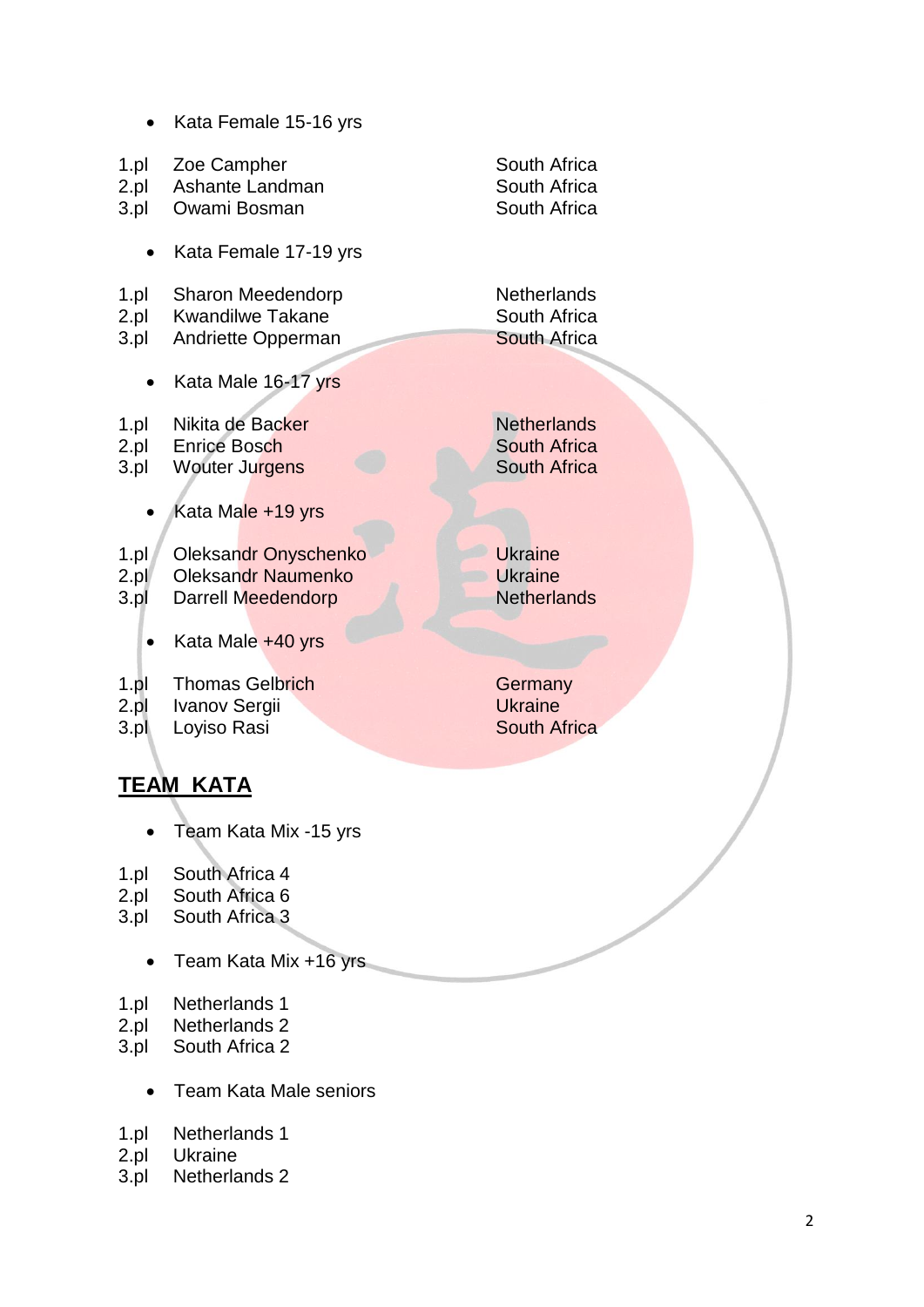• Kata Female 15 -16 yrs 1.pl 2.pl 3.pl Zoe Campher Ashante Landman Owami Bosman South Africa South Africa South Africa • Kata Female 17 -19 yrs 1.pl 2.pl 3.pl Sharon Meedendorp Kwandilwe Takane Andriette Opperman **Netherlands** South Africa South Africa • Kata Male 16-17 yrs 1.pl 2.pl 3.pl Nikita de Backer Enrice Bosch Wouter Jurgens Kata Male +19 yrs 1.pl  $2.pl$ 3.pl Oleksandr Onyschenko Oleksandr Naumenko Darrell Meedendorp Ukraine **Ukraine** • Kata Male +40 yrs

#### 1.pl Thomas Gelbrich

- 2.pl Ivanov Sergii
- 3.pl Loyiso Rasi

### **TEAM KATA**

- Team Kata Mix -15 yrs
- 1.pl South Africa 4
- 2.pl South Africa 6
- 3.pl South Africa 3
	- Team Kata Mix +16 yrs
- 1.pl Netherlands 1
- 2.pl Netherlands 2
- 3.pl South Africa 2
	- Team Kata Male seniors
- 1.pl Netherlands 1
- 2.pl Ukraine
- 3.pl Netherlands 2

**Netherlands** South Africa South Africa

**Netherlands** 

**Germany Ukraine** South Africa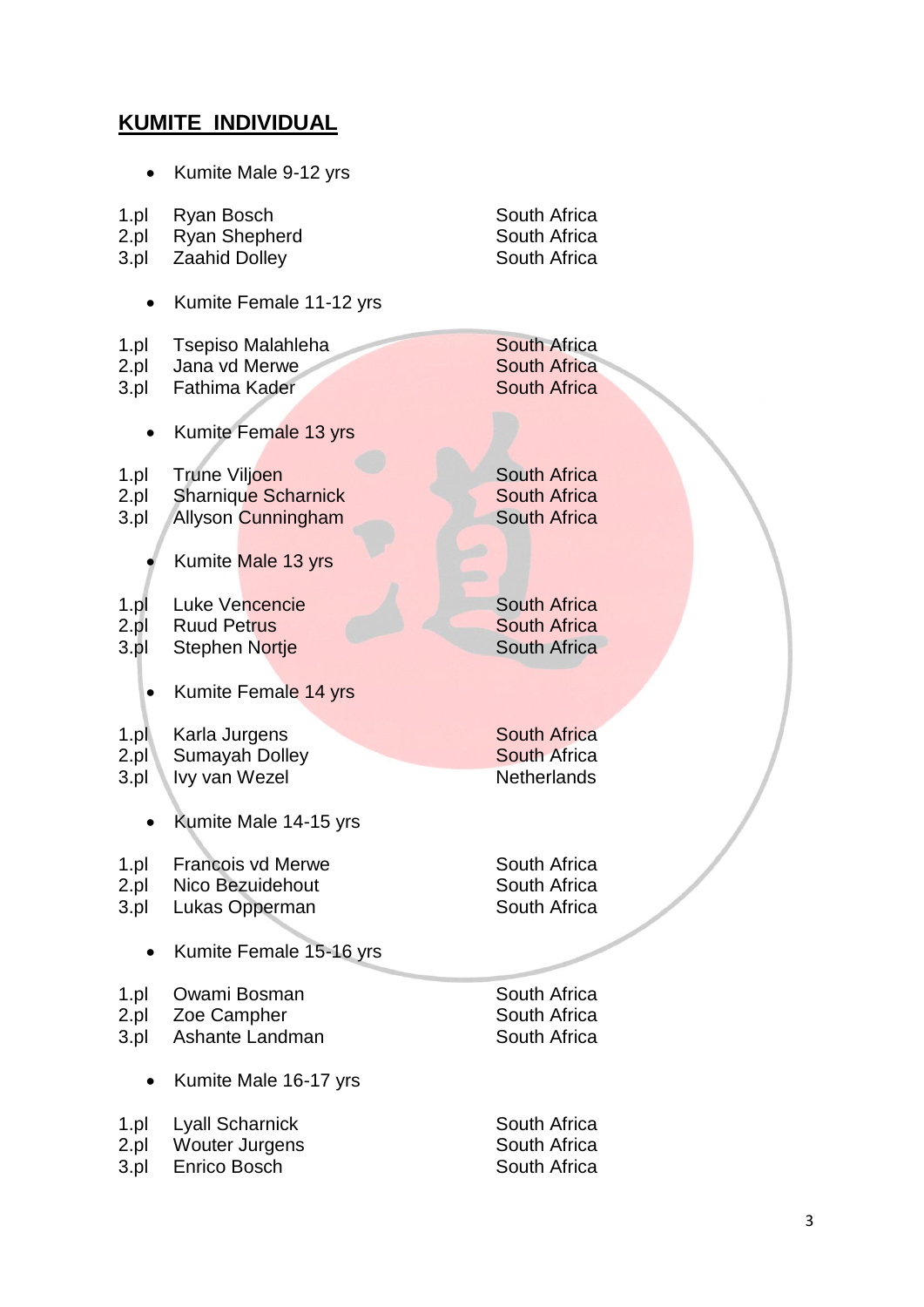## **KUMITE INDIVIDUAL**

|      | Kumite Male 9-12 yrs       |                     |
|------|----------------------------|---------------------|
| 1.pl | Ryan Bosch                 | South Africa        |
| 2.pl | <b>Ryan Shepherd</b>       | South Africa        |
| 3.pl | <b>Zaahid Dolley</b>       | South Africa        |
|      | Kumite Female 11-12 yrs    |                     |
| 1.pl | Tsepiso Malahleha          | <b>South Africa</b> |
| 2.pl | Jana vd Merwe              | <b>South Africa</b> |
| 3.pl | Fathima Kader              | <b>South Africa</b> |
|      | Kumite Female 13 yrs       |                     |
| 1.pl | Trune Viljoen              | <b>South Africa</b> |
| 2.pl | <b>Sharnique Scharnick</b> | <b>South Africa</b> |
| 3.pl | <b>Allyson Cunningham</b>  | <b>South Africa</b> |
|      | Kumite Male 13 yrs         |                     |
| 1.pl | Luke Vencencie             | <b>South Africa</b> |
| 2.pl | <b>Ruud Petrus</b>         | <b>South Africa</b> |
| 3.pl | <b>Stephen Nortje</b>      | <b>South Africa</b> |
|      | Kumite Female 14 yrs       |                     |
| 1.pl | Karla Jurgens              | <b>South Africa</b> |
| 2.pl | <b>Sumayah Dolley</b>      | <b>South Africa</b> |
| 3.pl | Ivy van Wezel              | <b>Netherlands</b>  |
|      | Kumite Male 14-15 yrs      |                     |
| 1.pl | <b>Francois vd Merwe</b>   | South Africa        |
| 2.pl | Nico Bezuidehout           | South Africa        |
| 3.pl | Lukas Opperman             | South Africa        |
|      | Kumite Female 15-16 yrs    |                     |
| 1.pl | Owami Bosman               | South Africa        |
| 2.pl | Zoe Campher                | South Africa        |
| 3.pl | Ashante Landman            | South Africa        |
|      | Kumite Male 16-17 yrs      |                     |
| 1.pl | <b>Lyall Scharnick</b>     | South Africa        |
| 2.pl | <b>Wouter Jurgens</b>      | South Africa        |
| 3.pl | Enrico Bosch               | South Africa        |